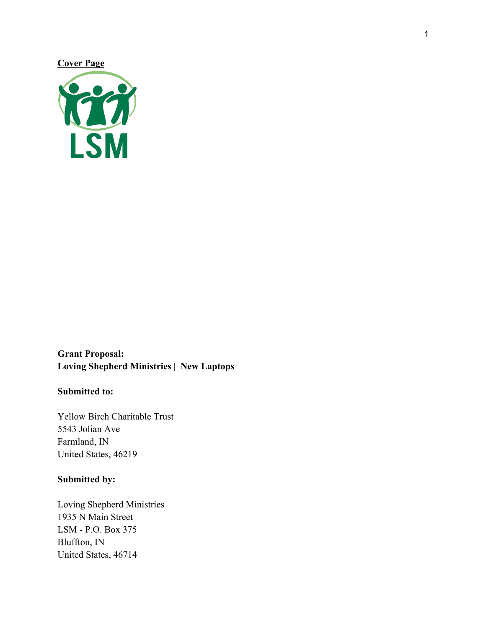## **Cover Page**



# **Grant Proposal: Loving Shepherd Ministries | New Laptops**

## **Submitted to:**

Yellow Birch Charitable Trust 5543 Jolian Ave Farmland, IN United States, 46219

## **Submitted by:**

Loving Shepherd Ministries 1935 N Main Street LSM - P.O. Box 375 Bluffton, IN United States, 46714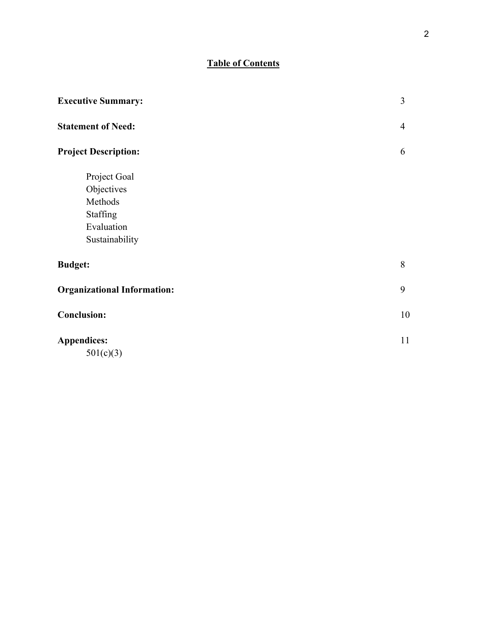# **Table of Contents**

| <b>Executive Summary:</b>          | $\overline{3}$ |
|------------------------------------|----------------|
| <b>Statement of Need:</b>          | $\overline{4}$ |
| <b>Project Description:</b>        | 6              |
| Project Goal                       |                |
| Objectives                         |                |
| Methods                            |                |
| Staffing                           |                |
| Evaluation                         |                |
| Sustainability                     |                |
| <b>Budget:</b>                     | 8              |
| <b>Organizational Information:</b> | 9              |
| <b>Conclusion:</b>                 | 10             |
| <b>Appendices:</b>                 | 11             |
| 501(c)(3)                          |                |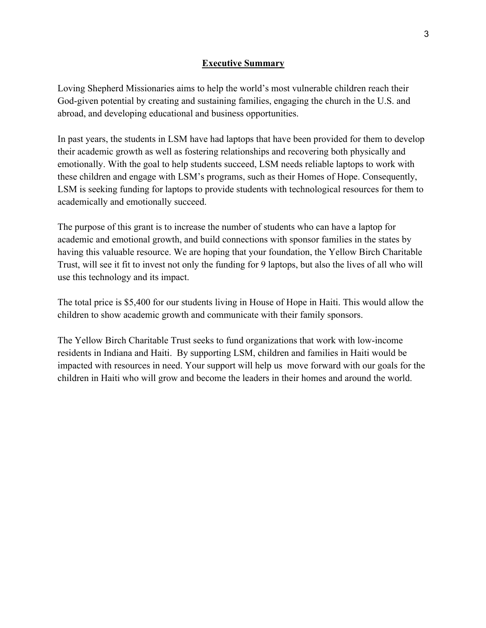### **Executive Summary**

Loving Shepherd Missionaries aims to help the world's most vulnerable children reach their God-given potential by creating and sustaining families, engaging the church in the U.S. and abroad, and developing educational and business opportunities.

In past years, the students in LSM have had laptops that have been provided for them to develop their academic growth as well as fostering relationships and recovering both physically and emotionally. With the goal to help students succeed, LSM needs reliable laptops to work with these children and engage with LSM's programs, such as their Homes of Hope. Consequently, LSM is seeking funding for laptops to provide students with technological resources for them to academically and emotionally succeed.

The purpose of this grant is to increase the number of students who can have a laptop for academic and emotional growth, and build connections with sponsor families in the states by having this valuable resource. We are hoping that your foundation, the Yellow Birch Charitable Trust, will see it fit to invest not only the funding for 9 laptops, but also the lives of all who will use this technology and its impact.

The total price is \$5,400 for our students living in House of Hope in Haiti. This would allow the children to show academic growth and communicate with their family sponsors.

The Yellow Birch Charitable Trust seeks to fund organizations that work with low-income residents in Indiana and Haiti. By supporting LSM, children and families in Haiti would be impacted with resources in need. Your support will help us move forward with our goals for the children in Haiti who will grow and become the leaders in their homes and around the world.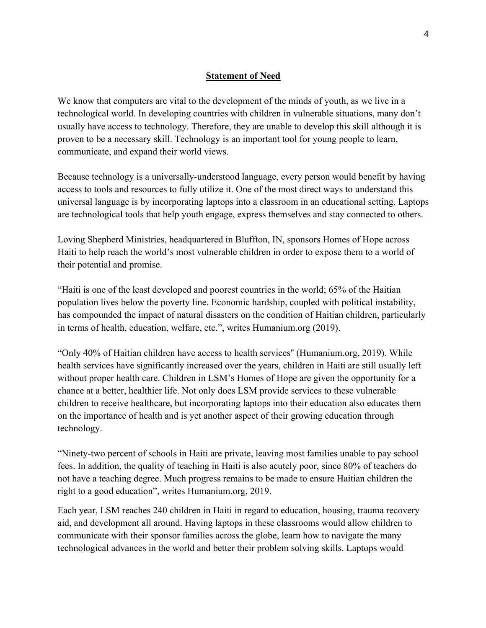### **Statement of Need**

We know that computers are vital to the development of the minds of youth, as we live in a technological world. In developing countries with children in vulnerable situations, many don't usually have access to technology. Therefore, they are unable to develop this skill although it is proven to be a necessary skill. Technology is an important tool for young people to learn, communicate, and expand their world views.

Because technology is a universally-understood language, every person would benefit by having access to tools and resources to fully utilize it. One of the most direct ways to understand this universal language is by incorporating laptops into a classroom in an educational setting. Laptops are technological tools that help youth engage, express themselves and stay connected to others.

Loving Shepherd Ministries, headquartered in Bluffton, IN, sponsors Homes of Hope across Haiti to help reach the world's most vulnerable children in order to expose them to a world of their potential and promise.

"Haiti is one of the least developed and poorest countries in the world; 65% of the Haitian population lives below the poverty line. Economic hardship, coupled with political instability, has compounded the impact of natural disasters on the condition of Haitian children, particularly in terms of health, education, welfare, etc.", writes Humanium.org (2019).

"Only 40% of Haitian children have access to health services'' (Humanium.org, 2019). While health services have significantly increased over the years, children in Haiti are still usually left without proper health care. Children in LSM's Homes of Hope are given the opportunity for a chance at a better, healthier life. Not only does LSM provide services to these vulnerable children to receive healthcare, but incorporating laptops into their education also educates them on the importance of health and is yet another aspect of their growing education through technology.

"Ninety-two percent of schools in Haiti are private, leaving most families unable to pay school fees. In addition, the quality of teaching in Haiti is also acutely poor, since 80% of teachers do not have a teaching degree. Much progress remains to be made to ensure Haitian children the right to a good education", writes Humanium.org, 2019.

Each year, LSM reaches 240 children in Haiti in regard to education, housing, trauma recovery aid, and development all around. Having laptops in these classrooms would allow children to communicate with their sponsor families across the globe, learn how to navigate the many technological advances in the world and better their problem solving skills. Laptops would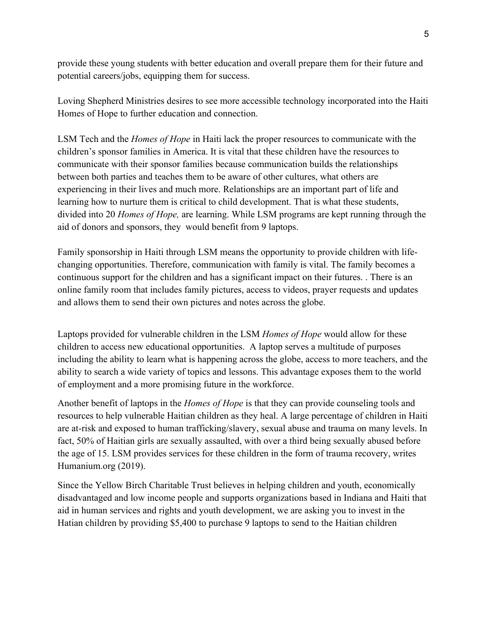provide these young students with better education and overall prepare them for their future and potential careers/jobs, equipping them for success.

Loving Shepherd Ministries desires to see more accessible technology incorporated into the Haiti Homes of Hope to further education and connection.

LSM Tech and the *Homes of Hope* in Haiti lack the proper resources to communicate with the children's sponsor families in America. It is vital that these children have the resources to communicate with their sponsor families because communication builds the relationships between both parties and teaches them to be aware of other cultures, what others are experiencing in their lives and much more. Relationships are an important part of life and learning how to nurture them is critical to child development. That is what these students, divided into 20 *Homes of Hope,* are learning. While LSM programs are kept running through the aid of donors and sponsors, they would benefit from 9 laptops.

Family sponsorship in Haiti through LSM means the opportunity to provide children with lifechanging opportunities. Therefore, communication with family is vital. The family becomes a continuous support for the children and has a significant impact on their futures. . There is an online family room that includes family pictures, access to videos, prayer requests and updates and allows them to send their own pictures and notes across the globe.

Laptops provided for vulnerable children in the LSM *Homes of Hope* would allow for these children to access new educational opportunities. A laptop serves a multitude of purposes including the ability to learn what is happening across the globe, access to more teachers, and the ability to search a wide variety of topics and lessons. This advantage exposes them to the world of employment and a more promising future in the workforce.

Another benefit of laptops in the *Homes of Hope* is that they can provide counseling tools and resources to help vulnerable Haitian children as they heal. A large percentage of children in Haiti are at-risk and exposed to human trafficking/slavery, sexual abuse and trauma on many levels. In fact, 50% of Haitian girls are sexually assaulted, with over a third being sexually abused before the age of 15. LSM provides services for these children in the form of trauma recovery, writes Humanium.org (2019).

Since the Yellow Birch Charitable Trust believes in helping children and youth, economically disadvantaged and low income people and supports organizations based in Indiana and Haiti that aid in human services and rights and youth development, we are asking you to invest in the Hatian children by providing \$5,400 to purchase 9 laptops to send to the Haitian children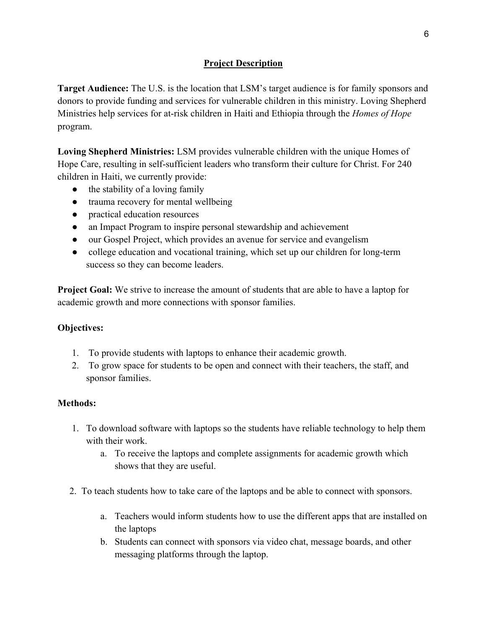# **Project Description**

**Target Audience:** The U.S. is the location that LSM's target audience is for family sponsors and donors to provide funding and services for vulnerable children in this ministry. Loving Shepherd Ministries help services for at-risk children in Haiti and Ethiopia through the *Homes of Hope* program.

**Loving Shepherd Ministries:** LSM provides vulnerable children with the unique Homes of Hope Care, resulting in self-sufficient leaders who transform their culture for Christ. For 240 children in Haiti, we currently provide:

- the stability of a loving family
- trauma recovery for mental wellbeing
- practical education resources
- an Impact Program to inspire personal stewardship and achievement
- our Gospel Project, which provides an avenue for service and evangelism
- college education and vocational training, which set up our children for long-term success so they can become leaders.

**Project Goal:** We strive to increase the amount of students that are able to have a laptop for academic growth and more connections with sponsor families.

## **Objectives:**

- 1. To provide students with laptops to enhance their academic growth.
- 2. To grow space for students to be open and connect with their teachers, the staff, and sponsor families.

## **Methods:**

- 1. To download software with laptops so the students have reliable technology to help them with their work.
	- a. To receive the laptops and complete assignments for academic growth which shows that they are useful.
- 2. To teach students how to take care of the laptops and be able to connect with sponsors.
	- a. Teachers would inform students how to use the different apps that are installed on the laptops
	- b. Students can connect with sponsors via video chat, message boards, and other messaging platforms through the laptop.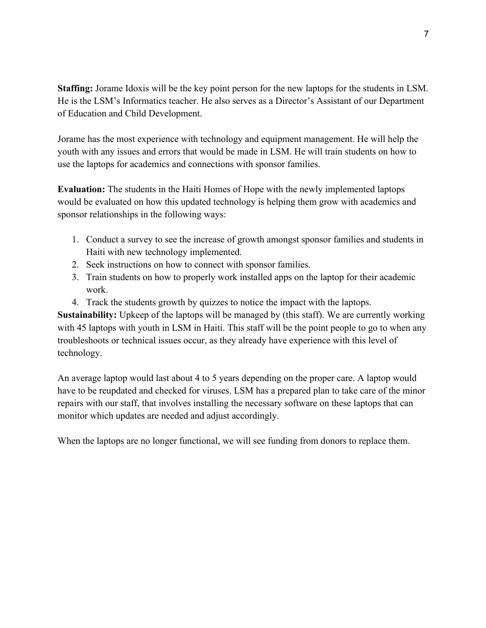**Staffing:** Jorame Idoxis will be the key point person for the new laptops for the students in LSM. He is the LSM's Informatics teacher. He also serves as a Director's Assistant of our Department of Education and Child Development.

Jorame has the most experience with technology and equipment management. He will help the youth with any issues and errors that would be made in LSM. He will train students on how to use the laptops for academics and connections with sponsor families.

**Evaluation:** The students in the Haiti Homes of Hope with the newly implemented laptops would be evaluated on how this updated technology is helping them grow with academics and sponsor relationships in the following ways:

- 1. Conduct a survey to see the increase of growth amongst sponsor families and students in Haiti with new technology implemented.
- 2. Seek instructions on how to connect with sponsor families.
- 3. Train students on how to properly work installed apps on the laptop for their academic work.
- 4. Track the students growth by quizzes to notice the impact with the laptops.

**Sustainability:** Upkeep of the laptops will be managed by (this staff). We are currently working with 45 laptops with youth in LSM in Haiti. This staff will be the point people to go to when any troubleshoots or technical issues occur, as they already have experience with this level of technology.

An average laptop would last about 4 to 5 years depending on the proper care. A laptop would have to be reupdated and checked for viruses. LSM has a prepared plan to take care of the minor repairs with our staff, that involves installing the necessary software on these laptops that can monitor which updates are needed and adjust accordingly.

When the laptops are no longer functional, we will see funding from donors to replace them.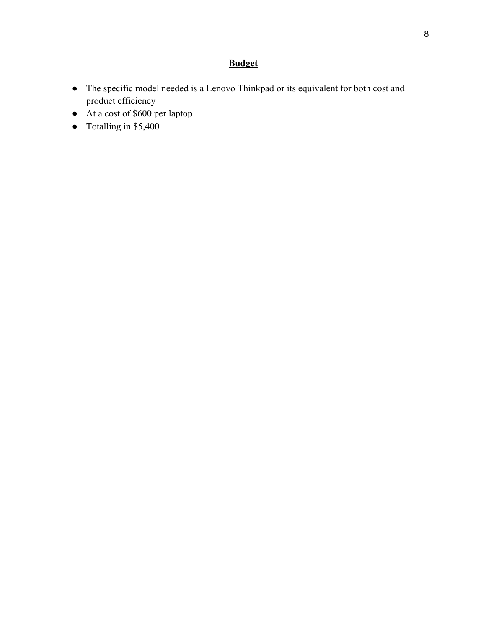# **Budget**

- The specific model needed is a Lenovo Thinkpad or its equivalent for both cost and product efficiency
- At a cost of \$600 per laptop
- Totalling in \$5,400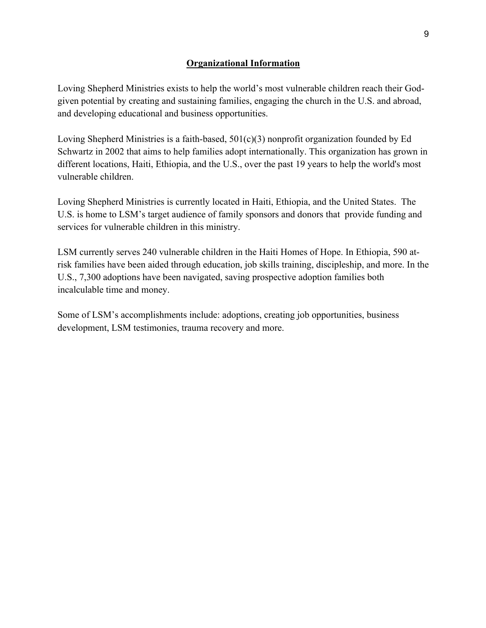### **Organizational Information**

Loving Shepherd Ministries exists to help the world's most vulnerable children reach their Godgiven potential by creating and sustaining families, engaging the church in the U.S. and abroad, and developing educational and business opportunities.

Loving Shepherd Ministries is a faith-based, 501(c)(3) nonprofit organization founded by Ed Schwartz in 2002 that aims to help families adopt internationally. This organization has grown in different locations, Haiti, Ethiopia, and the U.S., over the past 19 years to help the world's most vulnerable children.

Loving Shepherd Ministries is currently located in Haiti, Ethiopia, and the United States. The U.S. is home to LSM's target audience of family sponsors and donors that provide funding and services for vulnerable children in this ministry.

LSM currently serves 240 vulnerable children in the Haiti Homes of Hope. In Ethiopia, 590 atrisk families have been aided through education, job skills training, discipleship, and more. In the U.S., 7,300 adoptions have been navigated, saving prospective adoption families both incalculable time and money.

Some of LSM's accomplishments include: adoptions, creating job opportunities, business development, LSM testimonies, trauma recovery and more.